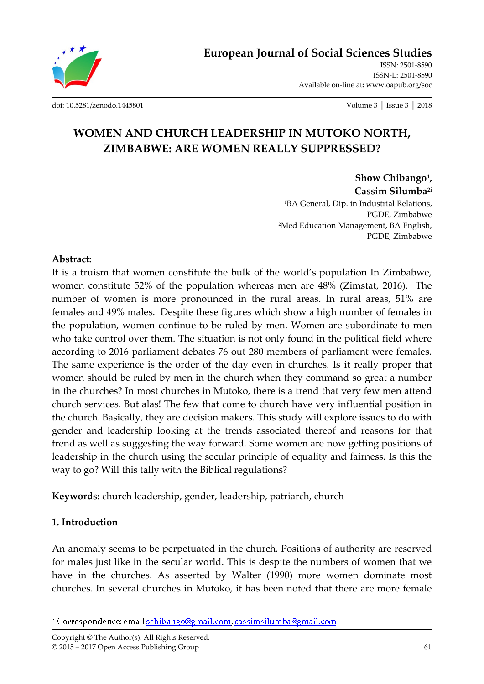**European Journal of Social Sciences Studies**

ISSN: 2501-8590 ISSN-L: 2501-8590 Available on-line at**:** www.oapub.org/soc

[doi: 10.5281/zenodo.1445801](http://dx.doi.org/10.5281/zenodo.1445801) Volume 3 │ Issue 3 │ 2018

# **WOMEN AND CHURCH LEADERSHIP IN MUTOKO NORTH, ZIMBABWE: ARE WOMEN REALLY SUPPRESSED?**

**Show Chibango<sup>1</sup> , Cassim Silumba2i** <sup>1</sup>BA General, Dip. in Industrial Relations, PGDE, Zimbabwe <sup>2</sup>Med Education Management, BA English, PGDE, Zimbabwe

#### **Abstract:**

It is a truism that women constitute the bulk of the world's population In Zimbabwe, women constitute 52% of the population whereas men are 48% (Zimstat, 2016). The number of women is more pronounced in the rural areas. In rural areas, 51% are females and 49% males. Despite these figures which show a high number of females in the population, women continue to be ruled by men. Women are subordinate to men who take control over them. The situation is not only found in the political field where according to 2016 parliament debates 76 out 280 members of parliament were females. The same experience is the order of the day even in churches. Is it really proper that women should be ruled by men in the church when they command so great a number in the churches? In most churches in Mutoko, there is a trend that very few men attend church services. But alas! The few that come to church have very influential position in the church. Basically, they are decision makers. This study will explore issues to do with gender and leadership looking at the trends associated thereof and reasons for that trend as well as suggesting the way forward. Some women are now getting positions of leadership in the church using the secular principle of equality and fairness. Is this the way to go? Will this tally with the Biblical regulations?

**Keywords:** church leadership, gender, leadership, patriarch, church

### **1. Introduction**

 $\overline{\phantom{a}}$ 

An anomaly seems to be perpetuated in the church. Positions of authority are reserved for males just like in the secular world. This is despite the numbers of women that we have in the churches. As asserted by Walter (1990) more women dominate most churches. In several churches in Mutoko, it has been noted that there are more female

Copyright © The Author(s). All Rights Reserved. © 2015 – 2017 Open Access Publishing Group 61

<sup>&</sup>lt;sup>1</sup> Correspondence: email schibango@gmail.com, cassimsilumba@gmail.com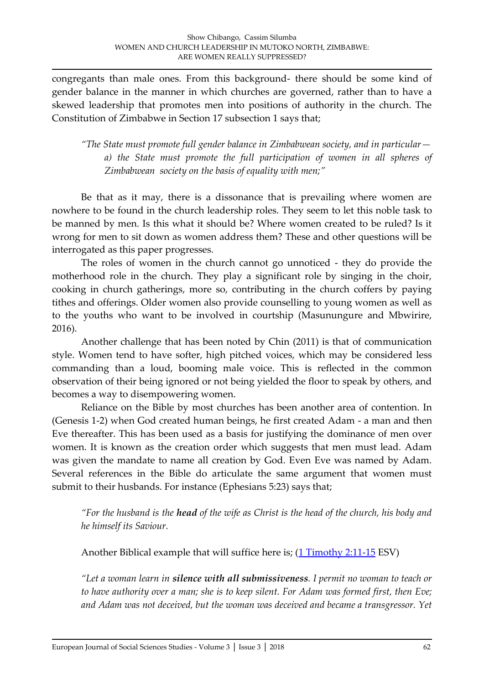congregants than male ones. From this background- there should be some kind of gender balance in the manner in which churches are governed, rather than to have a skewed leadership that promotes men into positions of authority in the church. The Constitution of Zimbabwe in Section 17 subsection 1 says that;

*"The State must promote full gender balance in Zimbabwean society, and in particular a) the State must promote the full participation of women in all spheres of Zimbabwean society on the basis of equality with men;"*

Be that as it may, there is a dissonance that is prevailing where women are nowhere to be found in the church leadership roles. They seem to let this noble task to be manned by men. Is this what it should be? Where women created to be ruled? Is it wrong for men to sit down as women address them? These and other questions will be interrogated as this paper progresses.

The roles of women in the church cannot go unnoticed - they do provide the motherhood role in the church. They play a significant role by singing in the choir, cooking in church gatherings, more so, contributing in the church coffers by paying tithes and offerings. Older women also provide counselling to young women as well as to the youths who want to be involved in courtship (Masunungure and Mbwirire, 2016).

Another challenge that has been noted by Chin (2011) is that of communication style. Women tend to have softer, high pitched voices, which may be considered less commanding than a loud, booming male voice. This is reflected in the common observation of their being ignored or not being yielded the floor to speak by others, and becomes a way to disempowering women.

Reliance on the Bible by most churches has been another area of contention. In (Genesis 1-2) when God created human beings, he first created Adam - a man and then Eve thereafter. This has been used as a basis for justifying the dominance of men over women. It is known as the creation order which suggests that men must lead. Adam was given the mandate to name all creation by God. Even Eve was named by Adam. Several references in the Bible do articulate the same argument that women must submit to their husbands. For instance (Ephesians 5:23) says that;

*"For the husband is the head of the wife as Christ is the head of the church, his body and he himself its Saviour.* 

Another Biblical example that will suffice here is;  $(1$  Timothy 2:11-15 ESV)

*"Let a woman learn in silence with all submissiveness. I permit no woman to teach or to have authority over a man; she is to keep silent. For Adam was formed first, then Eve; and Adam was not deceived, but the woman was deceived and became a transgressor. Yet*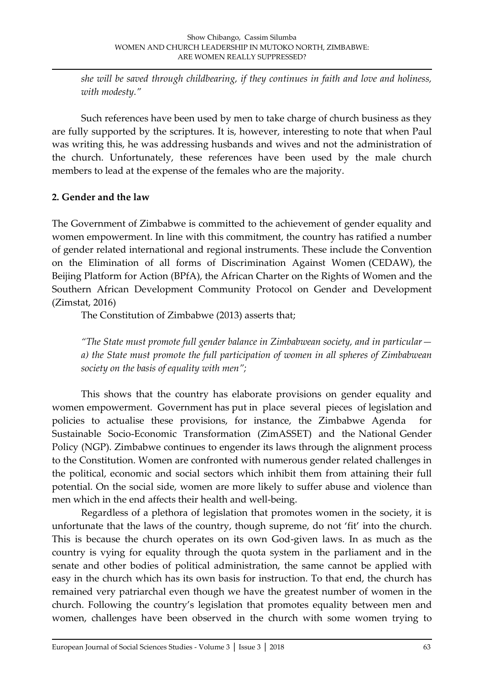*she will be saved through childbearing, if they continues in faith and love and holiness, with modesty."*

Such references have been used by men to take charge of church business as they are fully supported by the scriptures. It is, however, interesting to note that when Paul was writing this, he was addressing husbands and wives and not the administration of the church. Unfortunately, these references have been used by the male church members to lead at the expense of the females who are the majority.

### **2. Gender and the law**

The Government of Zimbabwe is committed to the achievement of gender equality and women empowerment. In line with this commitment, the country has ratified a number of gender related international and regional instruments. These include the Convention on the Elimination of all forms of Discrimination Against Women (CEDAW), the Beijing Platform for Action (BPfA), the African Charter on the Rights of Women and the Southern African Development Community Protocol on Gender and Development (Zimstat, 2016)

The Constitution of Zimbabwe (2013) asserts that;

*"The State must promote full gender balance in Zimbabwean society, and in particular a) the State must promote the full participation of women in all spheres of Zimbabwean society on the basis of equality with men";* 

This shows that the country has elaborate provisions on gender equality and women empowerment. Government has put in place several pieces of legislation and policies to actualise these provisions, for instance, the Zimbabwe Agenda for Sustainable Socio-Economic Transformation (ZimASSET) and the National Gender Policy (NGP). Zimbabwe continues to engender its laws through the alignment process to the Constitution. Women are confronted with numerous gender related challenges in the political, economic and social sectors which inhibit them from attaining their full potential. On the social side, women are more likely to suffer abuse and violence than men which in the end affects their health and well-being.

Regardless of a plethora of legislation that promotes women in the society, it is unfortunate that the laws of the country, though supreme, do not 'fit' into the church. This is because the church operates on its own God-given laws. In as much as the country is vying for equality through the quota system in the parliament and in the senate and other bodies of political administration, the same cannot be applied with easy in the church which has its own basis for instruction. To that end, the church has remained very patriarchal even though we have the greatest number of women in the church. Following the country's legislation that promotes equality between men and women, challenges have been observed in the church with some women trying to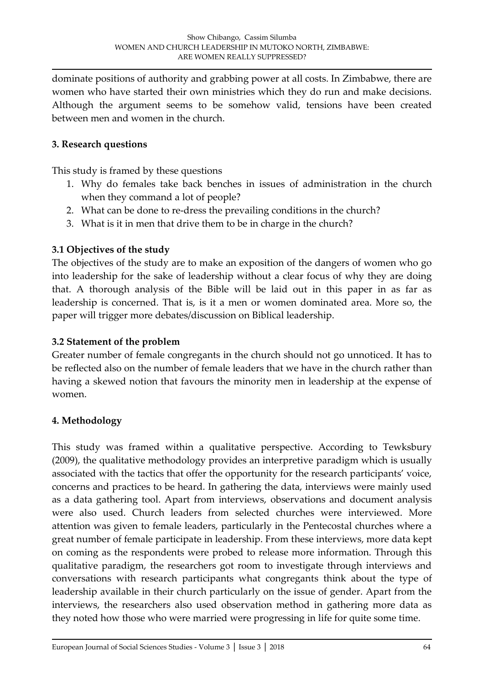dominate positions of authority and grabbing power at all costs. In Zimbabwe, there are women who have started their own ministries which they do run and make decisions. Although the argument seems to be somehow valid, tensions have been created between men and women in the church.

### **3. Research questions**

This study is framed by these questions

- 1. Why do females take back benches in issues of administration in the church when they command a lot of people?
- 2. What can be done to re-dress the prevailing conditions in the church?
- 3. What is it in men that drive them to be in charge in the church?

# **3.1 Objectives of the study**

The objectives of the study are to make an exposition of the dangers of women who go into leadership for the sake of leadership without a clear focus of why they are doing that. A thorough analysis of the Bible will be laid out in this paper in as far as leadership is concerned. That is, is it a men or women dominated area. More so, the paper will trigger more debates/discussion on Biblical leadership.

## **3.2 Statement of the problem**

Greater number of female congregants in the church should not go unnoticed. It has to be reflected also on the number of female leaders that we have in the church rather than having a skewed notion that favours the minority men in leadership at the expense of women.

## **4. Methodology**

This study was framed within a qualitative perspective. According to Tewksbury (2009), the qualitative methodology provides an interpretive paradigm which is usually associated with the tactics that offer the opportunity for the research participants' voice, concerns and practices to be heard. In gathering the data, interviews were mainly used as a data gathering tool. Apart from interviews, observations and document analysis were also used. Church leaders from selected churches were interviewed. More attention was given to female leaders, particularly in the Pentecostal churches where a great number of female participate in leadership. From these interviews, more data kept on coming as the respondents were probed to release more information. Through this qualitative paradigm, the researchers got room to investigate through interviews and conversations with research participants what congregants think about the type of leadership available in their church particularly on the issue of gender. Apart from the interviews, the researchers also used observation method in gathering more data as they noted how those who were married were progressing in life for quite some time.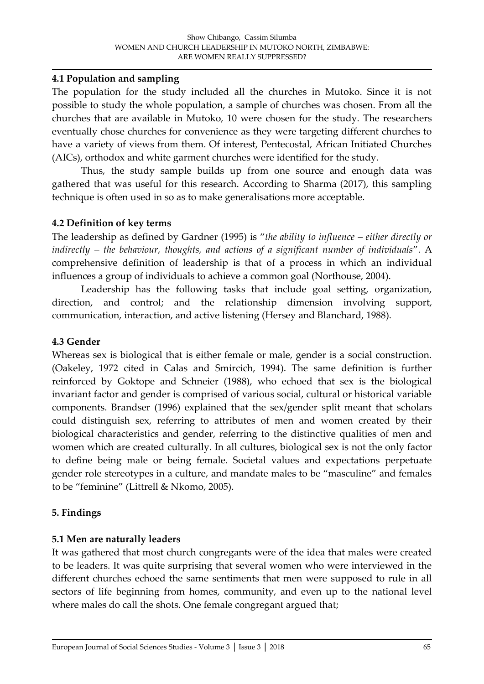#### **4.1 Population and sampling**

The population for the study included all the churches in Mutoko. Since it is not possible to study the whole population, a sample of churches was chosen. From all the churches that are available in Mutoko, 10 were chosen for the study. The researchers eventually chose churches for convenience as they were targeting different churches to have a variety of views from them. Of interest, Pentecostal, African Initiated Churches (AICs), orthodox and white garment churches were identified for the study.

Thus, the study sample builds up from one source and enough data was gathered that was useful for this research. According to Sharma (2017), this sampling technique is often used in so as to make generalisations more acceptable.

### **4.2 Definition of key terms**

The leadership as defined by Gardner (1995) is '*the ability to influence – either directly or indirectly – the behaviour, thoughts, and actions of a significant number of individuals*'. A comprehensive definition of leadership is that of a process in which an individual influences a group of individuals to achieve a common goal (Northouse, 2004).

Leadership has the following tasks that include goal setting, organization, direction, and control; and the relationship dimension involving support, communication, interaction, and active listening (Hersey and Blanchard, 1988).

### **4.3 Gender**

Whereas sex is biological that is either female or male, gender is a social construction. (Oakeley, 1972 cited in Calas and Smircich, 1994). The same definition is further reinforced by Goktope and Schneier (1988), who echoed that sex is the biological invariant factor and gender is comprised of various social, cultural or historical variable components. Brandser (1996) explained that the sex/gender split meant that scholars could distinguish sex, referring to attributes of men and women created by their biological characteristics and gender, referring to the distinctive qualities of men and women which are created culturally. In all cultures, biological sex is not the only factor to define being male or being female. Societal values and expectations perpetuate gender role stereotypes in a culture, and mandate males to be 'masculine' and females to be 'feminine' (Littrell & Nkomo, 2005).

### **5. Findings**

### **5.1 Men are naturally leaders**

It was gathered that most church congregants were of the idea that males were created to be leaders. It was quite surprising that several women who were interviewed in the different churches echoed the same sentiments that men were supposed to rule in all sectors of life beginning from homes, community, and even up to the national level where males do call the shots. One female congregant argued that;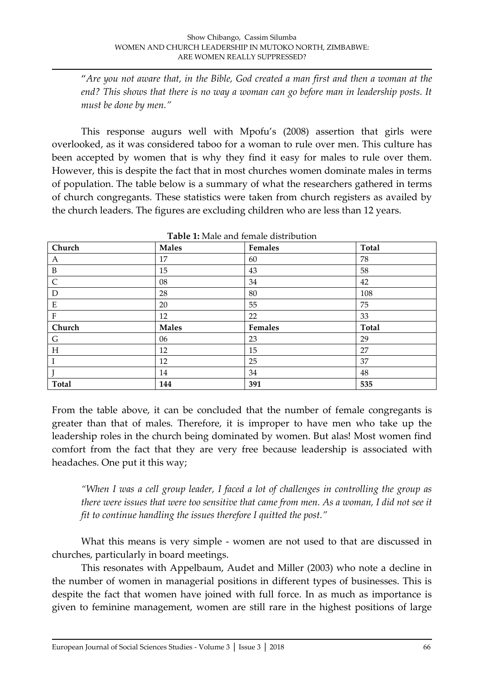'*Are you not aware that, in the Bible, God created a man first and then a woman at the end? This shows that there is no way a woman can go before man in leadership posts. It must be done by men."*

This response augurs well with Mpofu's (2008) assertion that girls were overlooked, as it was considered taboo for a woman to rule over men. This culture has been accepted by women that is why they find it easy for males to rule over them. However, this is despite the fact that in most churches women dominate males in terms of population. The table below is a summary of what the researchers gathered in terms of church congregants. These statistics were taken from church registers as availed by the church leaders. The figures are excluding children who are less than 12 years.

| Church       | <b>Males</b> | Females | <b>Total</b> |
|--------------|--------------|---------|--------------|
| A            | 17           | 60      | 78           |
| $\mathbf B$  | 15           | 43      | 58           |
| $\mathsf{C}$ | 08           | 34      | 42           |
| D            | 28           | 80      | 108          |
| ${\bf E}$    | 20           | 55      | 75           |
| ${\bf F}$    | 12           | 22      | 33           |
| Church       | <b>Males</b> | Females | <b>Total</b> |
| G            | 06           | 23      | 29           |
| H            | 12           | 15      | 27           |
|              | 12           | 25      | 37           |
|              | 14           | 34      | 48           |
| <b>Total</b> | 144          | 391     | 535          |

**Table 1:** Male and female distribution

From the table above, it can be concluded that the number of female congregants is greater than that of males. Therefore, it is improper to have men who take up the leadership roles in the church being dominated by women. But alas! Most women find comfort from the fact that they are very free because leadership is associated with headaches. One put it this way;

*"When I was a cell group leader, I faced a lot of challenges in controlling the group as there were issues that were too sensitive that came from men. As a woman, I did not see it fit to continue handling the issues therefore I quitted the post."*

What this means is very simple - women are not used to that are discussed in churches, particularly in board meetings.

This resonates with Appelbaum, Audet and Miller (2003) who note a decline in the number of women in managerial positions in different types of businesses. This is despite the fact that women have joined with full force. In as much as importance is given to feminine management, women are still rare in the highest positions of large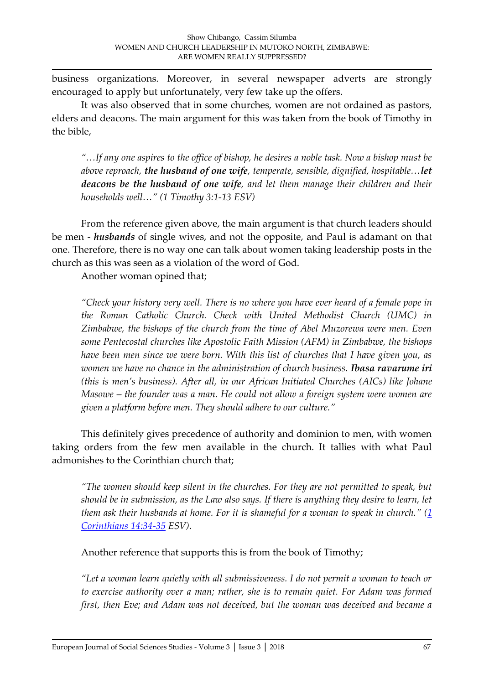business organizations. Moreover, in several newspaper adverts are strongly encouraged to apply but unfortunately, very few take up the offers.

It was also observed that in some churches, women are not ordained as pastors, elders and deacons. The main argument for this was taken from the book of Timothy in the bible,

*"…If any one aspires to the office of bishop, he desires a noble task. Now a bishop must be above reproach, the husband of one wife, temperate, sensible, dignified, hospitable…let deacons be the husband of one wife, and let them manage their children and their households well…" (1 Timothy 3:1-13 ESV)*

From the reference given above, the main argument is that church leaders should be men - *husbands* of single wives, and not the opposite, and Paul is adamant on that one. Therefore, there is no way one can talk about women taking leadership posts in the church as this was seen as a violation of the word of God.

Another woman opined that;

*"Check your history very well. There is no where you have ever heard of a female pope in the Roman Catholic Church. Check with United Methodist Church (UMC) in Zimbabwe, the bishops of the church from the time of Abel Muzorewa were men. Even some Pentecostal churches like Apostolic Faith Mission (AFM) in Zimbabwe, the bishops have been men since we were born. With this list of churches that I have given you, as women we have no chance in the administration of church business. Ibasa ravarume iri (this is men's business). After all, in our African Initiated Churches (AICs) like Johane Masowe – the founder was a man. He could not allow a foreign system were women are given a platform before men. They should adhere to our culture."*

This definitely gives precedence of authority and dominion to men, with women taking orders from the few men available in the church. It tallies with what Paul admonishes to the Corinthian church that;

*"The women should keep silent in the churches. For they are not permitted to speak, but should be in submission, as the Law also says. If there is anything they desire to learn, let them ask their husbands at home. For it is shameful for a woman to speak in church." [\(1](https://www.biblegateway.com/passage/?search=1+Corinthians+14%3A34-35&version=ESV)  [Corinthians 14:34-35](https://www.biblegateway.com/passage/?search=1+Corinthians+14%3A34-35&version=ESV) ESV)*.

Another reference that supports this is from the book of Timothy;

*"Let a woman learn quietly with all submissiveness. I do not permit a woman to teach or to exercise authority over a man; rather, she is to remain quiet. For Adam was formed first, then Eve; and Adam was not deceived, but the woman was deceived and became a*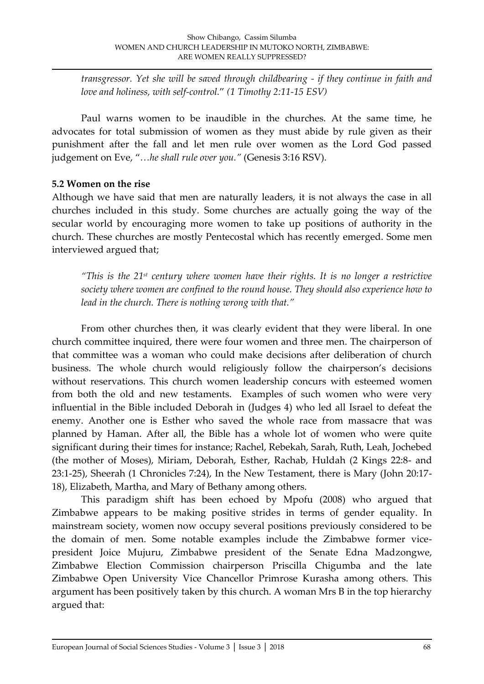*transgressor. Yet she will be saved through childbearing - if they continue in faith and love and holiness, with self-control.*' *(1 Timothy 2:11-15 ESV)*

Paul warns women to be inaudible in the churches. At the same time, he advocates for total submission of women as they must abide by rule given as their punishment after the fall and let men rule over women as the Lord God passed judgement on Eve, '*…he shall rule over you."* (Genesis 3:16 RSV).

## **5.2 Women on the rise**

Although we have said that men are naturally leaders, it is not always the case in all churches included in this study. Some churches are actually going the way of the secular world by encouraging more women to take up positions of authority in the church. These churches are mostly Pentecostal which has recently emerged. Some men interviewed argued that;

*"This is the 21st century where women have their rights. It is no longer a restrictive society where women are confined to the round house. They should also experience how to lead in the church. There is nothing wrong with that."*

From other churches then, it was clearly evident that they were liberal. In one church committee inquired, there were four women and three men. The chairperson of that committee was a woman who could make decisions after deliberation of church business. The whole church would religiously follow the chairperson's decisions without reservations. This church women leadership concurs with esteemed women from both the old and new testaments. Examples of such women who were very influential in the Bible included Deborah in (Judges 4) who led all Israel to defeat the enemy. Another one is Esther who saved the whole race from massacre that was planned by Haman. After all, the Bible has a whole lot of women who were quite significant during their times for instance; Rachel, Rebekah, Sarah, Ruth, Leah, Jochebed (the mother of Moses), Miriam, Deborah, Esther, Rachab, Huldah (2 Kings 22:8- and 23:1-25), Sheerah (1 Chronicles 7:24), In the New Testament, there is Mary (John 20:17- 18), Elizabeth, Martha, and Mary of Bethany among others.

This paradigm shift has been echoed by Mpofu (2008) who argued that Zimbabwe appears to be making positive strides in terms of gender equality. In mainstream society, women now occupy several positions previously considered to be the domain of men. Some notable examples include the Zimbabwe former vicepresident Joice Mujuru, Zimbabwe president of the Senate Edna Madzongwe, Zimbabwe Election Commission chairperson Priscilla Chigumba and the late Zimbabwe Open University Vice Chancellor Primrose Kurasha among others. This argument has been positively taken by this church. A woman Mrs B in the top hierarchy argued that: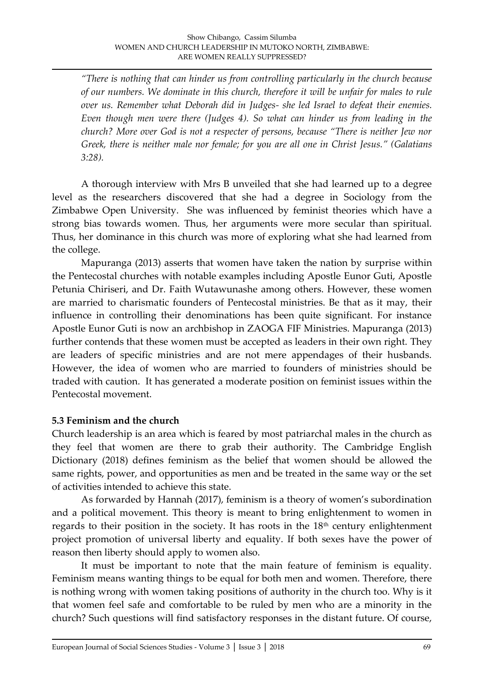*"There is nothing that can hinder us from controlling particularly in the church because of our numbers. We dominate in this church, therefore it will be unfair for males to rule over us. Remember what Deborah did in Judges- she led Israel to defeat their enemies. Even though men were there (Judges 4). So what can hinder us from leading in the church? More over God is not a respecter of persons, because "There is neither Jew nor Greek, there is neither male nor female; for you are all one in Christ Jesus." (Galatians 3:28).*

A thorough interview with Mrs B unveiled that she had learned up to a degree level as the researchers discovered that she had a degree in Sociology from the Zimbabwe Open University. She was influenced by feminist theories which have a strong bias towards women. Thus, her arguments were more secular than spiritual. Thus, her dominance in this church was more of exploring what she had learned from the college.

Mapuranga (2013) asserts that women have taken the nation by surprise within the Pentecostal churches with notable examples including Apostle Eunor Guti, Apostle Petunia Chiriseri, and Dr. Faith Wutawunashe among others. However, these women are married to charismatic founders of Pentecostal ministries. Be that as it may, their influence in controlling their denominations has been quite significant. For instance Apostle Eunor Guti is now an archbishop in ZAOGA FIF Ministries. Mapuranga (2013) further contends that these women must be accepted as leaders in their own right. They are leaders of specific ministries and are not mere appendages of their husbands. However, the idea of women who are married to founders of ministries should be traded with caution. It has generated a moderate position on feminist issues within the Pentecostal movement.

#### **5.3 Feminism and the church**

Church leadership is an area which is feared by most patriarchal males in the church as they feel that women are there to grab their authority. The Cambridge English Dictionary (2018) defines feminism as the belief that women should be allowed the same rights, power, and opportunities as men and be treated in the same way or the set of activities intended to achieve this state.

As forwarded by Hannah (2017), feminism is a theory of women's subordination and a political movement. This theory is meant to bring enlightenment to women in regards to their position in the society. It has roots in the 18<sup>th</sup> century enlightenment project promotion of universal liberty and equality. If both sexes have the power of reason then liberty should apply to women also.

It must be important to note that the main feature of feminism is equality. Feminism means wanting things to be equal for both men and women. Therefore, there is nothing wrong with women taking positions of authority in the church too. Why is it that women feel safe and comfortable to be ruled by men who are a minority in the church? Such questions will find satisfactory responses in the distant future. Of course,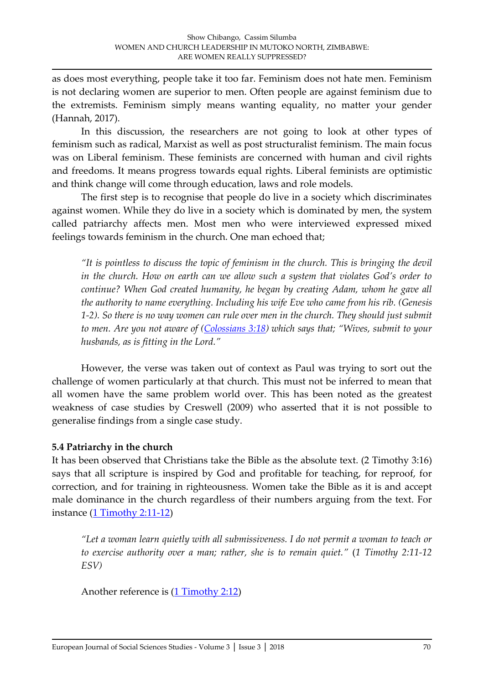as does most everything, people take it too far. Feminism does not hate men. Feminism is not declaring women are superior to men. Often people are against feminism due to the extremists. Feminism simply means wanting equality, no matter your gender (Hannah, 2017).

In this discussion, the researchers are not going to look at other types of feminism such as radical, Marxist as well as post structuralist feminism. The main focus was on Liberal feminism. These feminists are concerned with human and civil rights and freedoms. It means progress towards equal rights. Liberal feminists are optimistic and think change will come through education, laws and role models.

The first step is to recognise that people do live in a society which discriminates against women. While they do live in a society which is dominated by men, the system called patriarchy affects men. Most men who were interviewed expressed mixed feelings towards feminism in the church. One man echoed that;

*"It is pointless to discuss the topic of feminism in the church. This is bringing the devil in the church. How on earth can we allow such a system that violates God's order to continue? When God created humanity, he began by creating Adam, whom he gave all the authority to name everything. Including his wife Eve who came from his rib. (Genesis 1-2). So there is no way women can rule over men in the church. They should just submit to men. Are you not aware of [\(Colossians 3:18\)](https://www.biblegateway.com/passage/?search=Colossians+3%3A18&version=ESV) which says that; "Wives, submit to your husbands, as is fitting in the Lord."*

However, the verse was taken out of context as Paul was trying to sort out the challenge of women particularly at that church. This must not be inferred to mean that all women have the same problem world over. This has been noted as the greatest weakness of case studies by Creswell (2009) who asserted that it is not possible to generalise findings from a single case study.

## **5.4 Patriarchy in the church**

It has been observed that Christians take the Bible as the absolute text. (2 Timothy 3:16) says that all scripture is inspired by God and profitable for teaching, for reproof, for correction, and for training in righteousness. Women take the Bible as it is and accept male dominance in the church regardless of their numbers arguing from the text. For instance [\(1 Timothy 2:11-12\)](https://www.biblegateway.com/passage/?search=1+Timothy+2%3A11-12&version=ESV)

*"Let a woman learn quietly with all submissiveness. I do not permit a woman to teach or to exercise authority over a man; rather, she is to remain quiet."* (*1 Timothy 2:11-12 ESV)*

Another reference is [\(1 Timothy 2:12\)](https://www.biblegateway.com/passage/?search=1+Timothy+2%3A12&version=ESV)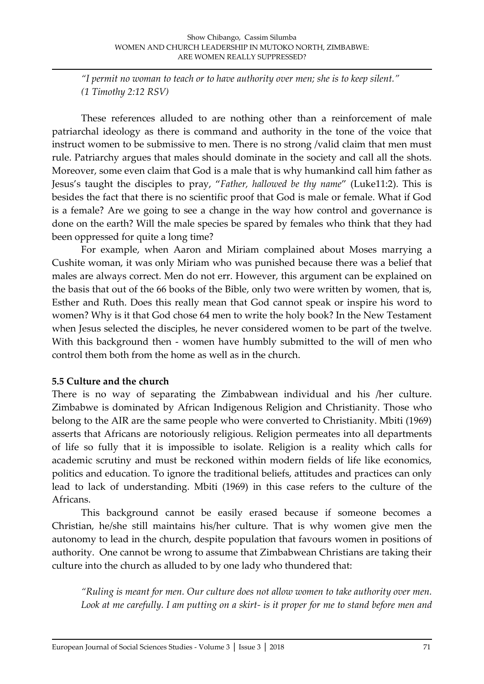*"I permit no woman to teach or to have authority over men; she is to keep silent." (1 Timothy 2:12 RSV)*

These references alluded to are nothing other than a reinforcement of male patriarchal ideology as there is command and authority in the tone of the voice that instruct women to be submissive to men. There is no strong /valid claim that men must rule. Patriarchy argues that males should dominate in the society and call all the shots. Moreover, some even claim that God is a male that is why humankind call him father as Jesus's taught the disciples to pray, '*Father, hallowed be thy name*' (Luke11:2). This is besides the fact that there is no scientific proof that God is male or female. What if God is a female? Are we going to see a change in the way how control and governance is done on the earth? Will the male species be spared by females who think that they had been oppressed for quite a long time?

For example, when Aaron and Miriam complained about Moses marrying a Cushite woman, it was only Miriam who was punished because there was a belief that males are always correct. Men do not err. However, this argument can be explained on the basis that out of the 66 books of the Bible, only two were written by women, that is, Esther and Ruth. Does this really mean that God cannot speak or inspire his word to women? Why is it that God chose 64 men to write the holy book? In the New Testament when Jesus selected the disciples, he never considered women to be part of the twelve. With this background then - women have humbly submitted to the will of men who control them both from the home as well as in the church.

### **5.5 Culture and the church**

There is no way of separating the Zimbabwean individual and his /her culture. Zimbabwe is dominated by African Indigenous Religion and Christianity. Those who belong to the AIR are the same people who were converted to Christianity. Mbiti (1969) asserts that Africans are notoriously religious. Religion permeates into all departments of life so fully that it is impossible to isolate. Religion is a reality which calls for academic scrutiny and must be reckoned within modern fields of life like economics, politics and education. To ignore the traditional beliefs, attitudes and practices can only lead to lack of understanding. Mbiti (1969) in this case refers to the culture of the Africans.

This background cannot be easily erased because if someone becomes a Christian, he/she still maintains his/her culture. That is why women give men the autonomy to lead in the church, despite population that favours women in positions of authority. One cannot be wrong to assume that Zimbabwean Christians are taking their culture into the church as alluded to by one lady who thundered that:

*"Ruling is meant for men. Our culture does not allow women to take authority over men. Look at me carefully. I am putting on a skirt- is it proper for me to stand before men and*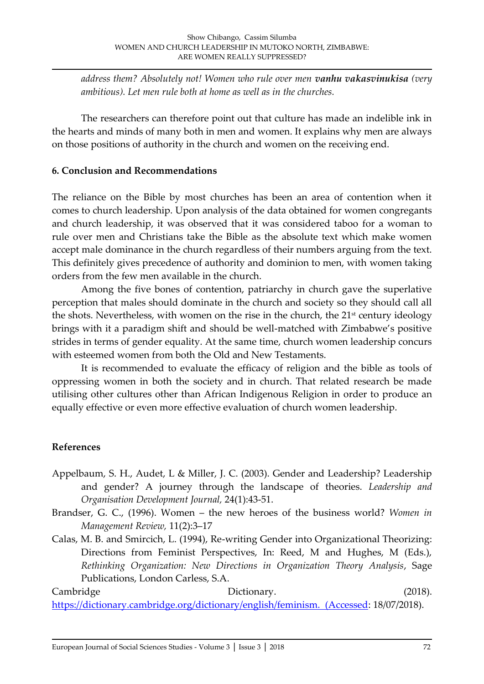*address them? Absolutely not! Women who rule over men vanhu vakasvinukisa (very ambitious). Let men rule both at home as well as in the churches.*

The researchers can therefore point out that culture has made an indelible ink in the hearts and minds of many both in men and women. It explains why men are always on those positions of authority in the church and women on the receiving end.

### **6. Conclusion and Recommendations**

The reliance on the Bible by most churches has been an area of contention when it comes to church leadership. Upon analysis of the data obtained for women congregants and church leadership, it was observed that it was considered taboo for a woman to rule over men and Christians take the Bible as the absolute text which make women accept male dominance in the church regardless of their numbers arguing from the text. This definitely gives precedence of authority and dominion to men, with women taking orders from the few men available in the church.

Among the five bones of contention, patriarchy in church gave the superlative perception that males should dominate in the church and society so they should call all the shots. Nevertheless, with women on the rise in the church, the  $21<sup>st</sup>$  century ideology brings with it a paradigm shift and should be well-matched with Zimbabwe's positive strides in terms of gender equality. At the same time, church women leadership concurs with esteemed women from both the Old and New Testaments.

It is recommended to evaluate the efficacy of religion and the bible as tools of oppressing women in both the society and in church. That related research be made utilising other cultures other than African Indigenous Religion in order to produce an equally effective or even more effective evaluation of church women leadership.

## **References**

- Appelbaum, S. H., Audet, L & Miller, J. C. (2003). Gender and Leadership? Leadership and gender? A journey through the landscape of theories. *Leadership and Organisation Development Journal,* 24(1):43-51.
- Brandser, G. C., (1996). Women the new heroes of the business world? *Women in Management Review,* 11(2):3–17
- Calas, M. B. and Smircich, L. (1994), Re-writing Gender into Organizational Theorizing: Directions from Feminist Perspectives, In: Reed, M and Hughes, M (Eds.), *Rethinking Organization: New Directions in Organization Theory Analysis*, Sage Publications, London Carless, S.A.

Cambridge Dictionary. (2018). [https://dictionary.cambridge.org/dictionary/english/feminism. \(Accessed:](https://dictionary.cambridge.org/dictionary/english/feminism.%20(Accessed) 18/07/2018).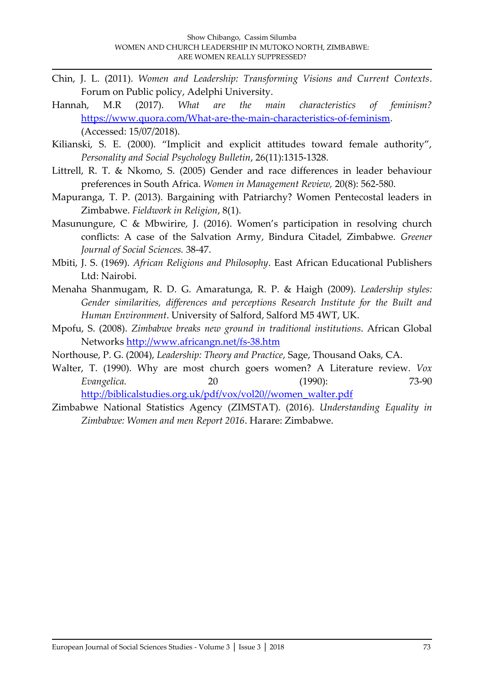- Chin, J. L. (2011). *Women and Leadership: Transforming Visions and Current Contexts*. Forum on Public policy, Adelphi University.
- Hannah, M.R (2017). *What are the main characteristics of feminism?*  [https://www.quora.com/What-are-the-main-characteristics-of-feminism.](https://www.quora.com/What-are-the-main-characteristics-of-feminism) (Accessed: 15/07/2018).
- Kilianski, S. E. (2000). 'Implicit and explicit attitudes toward female authority', *Personality and Social Psychology Bulletin*, 26(11):1315-1328.
- Littrell, R. T. & Nkomo, S. (2005) Gender and race differences in leader behaviour preferences in South Africa. *Women in Management Review,* 20(8): 562-580.
- Mapuranga, T. P. (2013). Bargaining with Patriarchy? Women Pentecostal leaders in Zimbabwe. *Fieldwork in Religion*, 8(1).
- Masunungure, C & Mbwirire, J. (2016). Women's participation in resolving church conflicts: A case of the Salvation Army, Bindura Citadel, Zimbabwe. *Greener Journal of Social Sciences.* 38-47.
- Mbiti, J. S. (1969). *African Religions and Philosophy*. East African Educational Publishers Ltd: Nairobi.
- Menaha Shanmugam, R. D. G. Amaratunga, R. P. & Haigh (2009). *Leadership styles: Gender similarities, differences and perceptions Research Institute for the Built and Human Environment*. University of Salford, Salford M5 4WT, UK.
- Mpofu, S. (2008). *Zimbabwe breaks new ground in traditional institutions*. African Global Networks<http://www.africangn.net/fs-38.htm>
- Northouse, P. G. (2004), *Leadership: Theory and Practice*, Sage, Thousand Oaks, CA.
- Walter, T. (1990). Why are most church goers women? A Literature review. *Vox Evangelica.* 20 (1990): 73-90 [http://biblicalstudies.org.uk/pdf/vox/vol20//women\\_walter.pdf](http://biblicalstudies.org.uk/pdf/vox/vol20/women_walter.pdf)
- Zimbabwe National Statistics Agency (ZIMSTAT). (2016). *Understanding Equality in Zimbabwe: Women and men Report 2016*. Harare: Zimbabwe.